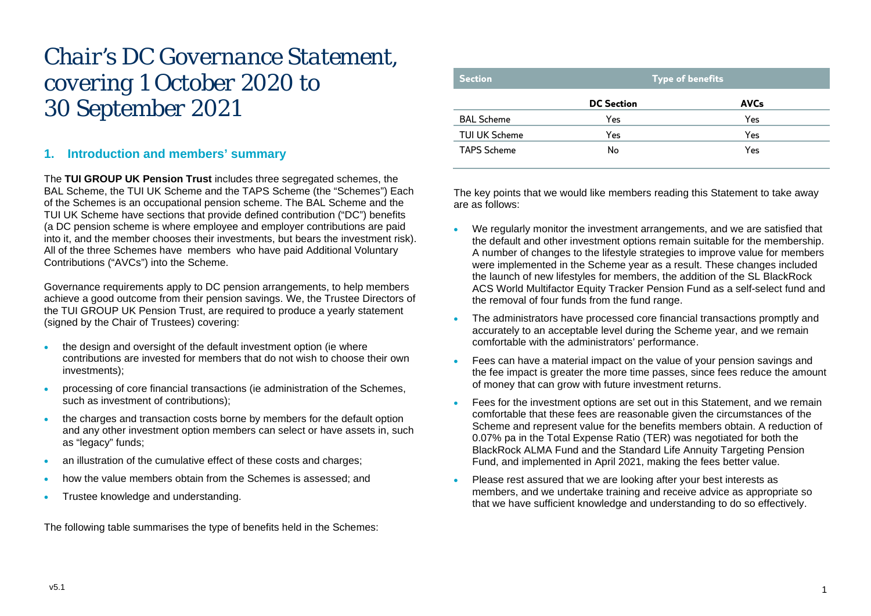# *Chair's DC Governance Statement, covering 1 October 2020 to 30 September 2021*

# **1. Introduction and members' summary**

The **TUI GROUP UK Pension Trust** includes three segregated schemes, the BAL Scheme, the TUI UK Scheme and the TAPS Scheme (the "Schemes") Each of the Schemes is an occupational pension scheme. The BAL Scheme and the TUI UK Scheme have sections that provide defined contribution ("DC") benefits (a DC pension scheme is where employee and employer contributions are paid into it, and the member chooses their investments, but bears the investment risk). All of the three Schemes have members who have paid Additional Voluntary Contributions ("AVCs") into the Scheme.

Governance requirements apply to DC pension arrangements, to help members achieve a good outcome from their pension savings. We, the Trustee Directors of the TUI GROUP UK Pension Trust, are required to produce a yearly statement (signed by the Chair of Trustees) covering:

- the design and oversight of the default investment option (ie where contributions are invested for members that do not wish to choose their own investments);
- processing of core financial transactions (ie administration of the Schemes, such as investment of contributions);
- the charges and transaction costs borne by members for the default option and any other investment option members can select or have assets in, such as "legacy" funds;
- an illustration of the cumulative effect of these costs and charges;
- how the value members obtain from the Schemes is assessed; and
- Trustee knowledge and understanding.

The following table summarises the type of benefits held in the Schemes:

| <b>Section</b>       | <b>Type of benefits</b> |             |  |
|----------------------|-------------------------|-------------|--|
|                      | <b>DC Section</b>       | <b>AVCs</b> |  |
| <b>BAL Scheme</b>    | Yes                     | Yes         |  |
| <b>TUI UK Scheme</b> | Yes                     | Yes         |  |
| <b>TAPS Scheme</b>   | No                      | Yes         |  |

The key points that we would like members reading this Statement to take away are as follows:

- We regularly monitor the investment arrangements, and we are satisfied that the default and other investment options remain suitable for the membership. A number of changes to the lifestyle strategies to improve value for members were implemented in the Scheme year as a result. These changes included the launch of new lifestyles for members, the addition of the SL BlackRock ACS World Multifactor Equity Tracker Pension Fund as a self-select fund and the removal of four funds from the fund range.
- The administrators have processed core financial transactions promptly and accurately to an acceptable level during the Scheme year, and we remain comfortable with the administrators' performance.
- Fees can have a material impact on the value of your pension savings and the fee impact is greater the more time passes, since fees reduce the amount of money that can grow with future investment returns.
- Fees for the investment options are set out in this Statement, and we remain comfortable that these fees are reasonable given the circumstances of the Scheme and represent value for the benefits members obtain. A reduction of 0.07% pa in the Total Expense Ratio (TER) was negotiated for both the BlackRock ALMA Fund and the Standard Life Annuity Targeting Pension Fund, and implemented in April 2021, making the fees better value.
- Please rest assured that we are looking after your best interests as members, and we undertake training and receive advice as appropriate so that we have sufficient knowledge and understanding to do so effectively.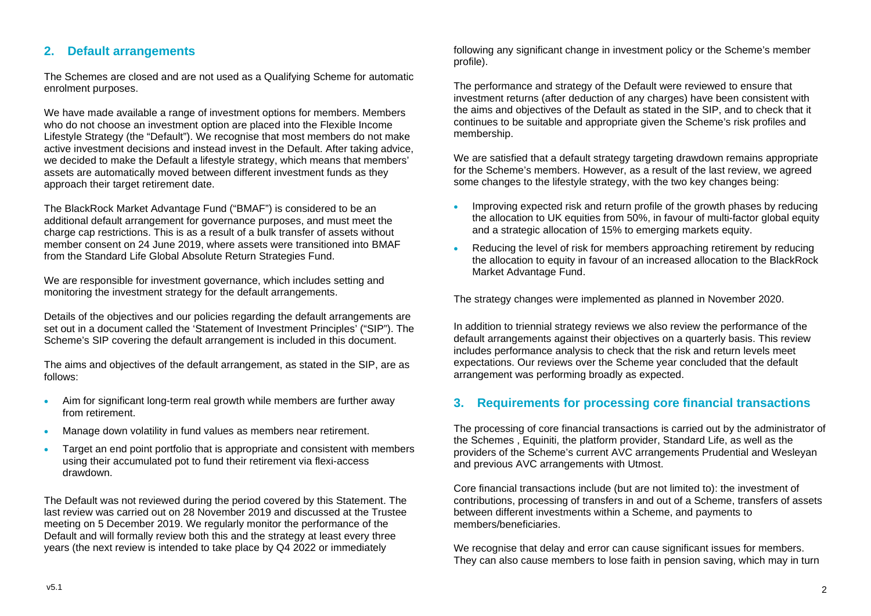# **2. Default arrangements**

The Schemes are closed and are not used as a Qualifying Scheme for automatic enrolment purposes.

We have made available a range of investment options for members. Members who do not choose an investment option are placed into the Flexible Income Lifestyle Strategy (the "Default"). We recognise that most members do not make active investment decisions and instead invest in the Default. After taking advice, we decided to make the Default a lifestyle strategy, which means that members' assets are automatically moved between different investment funds as they approach their target retirement date.

The BlackRock Market Advantage Fund ("BMAF") is considered to be an additional default arrangement for governance purposes, and must meet the charge cap restrictions. This is as a result of a bulk transfer of assets without member consent on 24 June 2019, where assets were transitioned into BMAF from the Standard Life Global Absolute Return Strategies Fund.

We are responsible for investment governance, which includes setting and monitoring the investment strategy for the default arrangements.

Details of the objectives and our policies regarding the default arrangements are set out in a document called the 'Statement of Investment Principles' ("SIP"). The Scheme's SIP covering the default arrangement is included in this document.

The aims and objectives of the default arrangement, as stated in the SIP, are as follows:

- Aim for significant long-term real growth while members are further away from retirement.
- Manage down volatility in fund values as members near retirement.
- Target an end point portfolio that is appropriate and consistent with members using their accumulated pot to fund their retirement via flexi-access drawdown.

The Default was not reviewed during the period covered by this Statement. The last review was carried out on 28 November 2019 and discussed at the Trustee meeting on 5 December 2019. We regularly monitor the performance of the Default and will formally review both this and the strategy at least every three years (the next review is intended to take place by Q4 2022 or immediately

following any significant change in investment policy or the Scheme's member profile).

The performance and strategy of the Default were reviewed to ensure that investment returns (after deduction of any charges) have been consistent with the aims and objectives of the Default as stated in the SIP, and to check that it continues to be suitable and appropriate given the Scheme's risk profiles and membership.

We are satisfied that a default strategy targeting drawdown remains appropriate for the Scheme's members. However, as a result of the last review, we agreed some changes to the lifestyle strategy, with the two key changes being:

- Improving expected risk and return profile of the growth phases by reducing the allocation to UK equities from 50%, in favour of multi-factor global equity and a strategic allocation of 15% to emerging markets equity.
- Reducing the level of risk for members approaching retirement by reducing the allocation to equity in favour of an increased allocation to the BlackRock Market Advantage Fund.

The strategy changes were implemented as planned in November 2020.

In addition to triennial strategy reviews we also review the performance of the default arrangements against their objectives on a quarterly basis. This review includes performance analysis to check that the risk and return levels meet expectations. Our reviews over the Scheme year concluded that the default arrangement was performing broadly as expected.

# **3. Requirements for processing core financial transactions**

The processing of core financial transactions is carried out by the administrator of the Schemes , Equiniti, the platform provider, Standard Life, as well as the providers of the Scheme's current AVC arrangements Prudential and Wesleyan and previous AVC arrangements with Utmost.

Core financial transactions include (but are not limited to): the investment of contributions, processing of transfers in and out of a Scheme, transfers of assets between different investments within a Scheme, and payments to members/beneficiaries.

We recognise that delay and error can cause significant issues for members. They can also cause members to lose faith in pension saving, which may in turn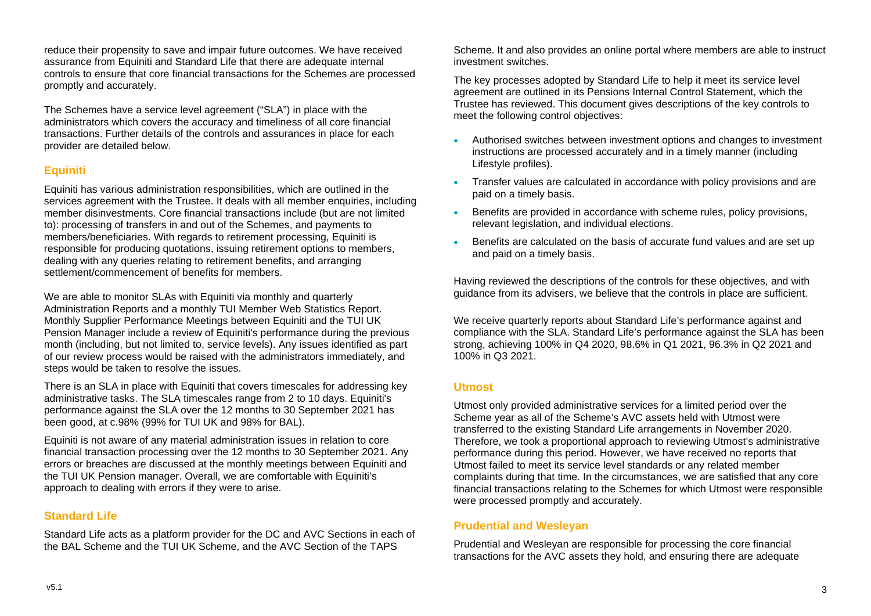reduce their propensity to save and impair future outcomes. We have received assurance from Equiniti and Standard Life that there are adequate internal controls to ensure that core financial transactions for the Schemes are processed promptly and accurately.

The Schemes have a service level agreement ("SLA") in place with the administrators which covers the accuracy and timeliness of all core financial transactions. Further details of the controls and assurances in place for each provider are detailed below.

## **Equiniti**

Equiniti has various administration responsibilities, which are outlined in the services agreement with the Trustee. It deals with all member enquiries, including member disinvestments. Core financial transactions include (but are not limited to): processing of transfers in and out of the Schemes, and payments to members/beneficiaries. With regards to retirement processing, Equiniti is responsible for producing quotations, issuing retirement options to members, dealing with any queries relating to retirement benefits, and arranging settlement/commencement of benefits for members.

We are able to monitor SLAs with Equiniti via monthly and quarterly Administration Reports and a monthly TUI Member Web Statistics Report. Monthly Supplier Performance Meetings between Equiniti and the TUI UK Pension Manager include a review of Equiniti's performance during the previous month (including, but not limited to, service levels). Any issues identified as part of our review process would be raised with the administrators immediately, and steps would be taken to resolve the issues.

There is an SLA in place with Equiniti that covers timescales for addressing key administrative tasks. The SLA timescales range from 2 to 10 days. Equiniti's performance against the SLA over the 12 months to 30 September 2021 has been good, at c.98% (99% for TUI UK and 98% for BAL).

Equiniti is not aware of any material administration issues in relation to core financial transaction processing over the 12 months to 30 September 2021. Any errors or breaches are discussed at the monthly meetings between Equiniti and the TUI UK Pension manager. Overall, we are comfortable with Equiniti's approach to dealing with errors if they were to arise.

## **Standard Life**

Standard Life acts as a platform provider for the DC and AVC Sections in each of the BAL Scheme and the TUI UK Scheme, and the AVC Section of the TAPS

Scheme. It and also provides an online portal where members are able to instruct investment switches.

The key processes adopted by Standard Life to help it meet its service level agreement are outlined in its Pensions Internal Control Statement, which the Trustee has reviewed. This document gives descriptions of the key controls to meet the following control objectives:

- Authorised switches between investment options and changes to investment instructions are processed accurately and in a timely manner (including Lifestyle profiles).
- Transfer values are calculated in accordance with policy provisions and are paid on a timely basis.
- Benefits are provided in accordance with scheme rules, policy provisions, relevant legislation, and individual elections.
- Benefits are calculated on the basis of accurate fund values and are set up and paid on a timely basis.

Having reviewed the descriptions of the controls for these objectives, and with guidance from its advisers, we believe that the controls in place are sufficient.

We receive quarterly reports about Standard Life's performance against and compliance with the SLA. Standard Life's performance against the SLA has been strong, achieving 100% in Q4 2020, 98.6% in Q1 2021, 96.3% in Q2 2021 and 100% in Q3 2021.

#### **Utmost**

Utmost only provided administrative services for a limited period over the Scheme year as all of the Scheme's AVC assets held with Utmost were transferred to the existing Standard Life arrangements in November 2020. Therefore, we took a proportional approach to reviewing Utmost's administrative performance during this period. However, we have received no reports that Utmost failed to meet its service level standards or any related member complaints during that time. In the circumstances, we are satisfied that any core financial transactions relating to the Schemes for which Utmost were responsible were processed promptly and accurately.

## **Prudential and Wesleyan**

Prudential and Wesleyan are responsible for processing the core financial transactions for the AVC assets they hold, and ensuring there are adequate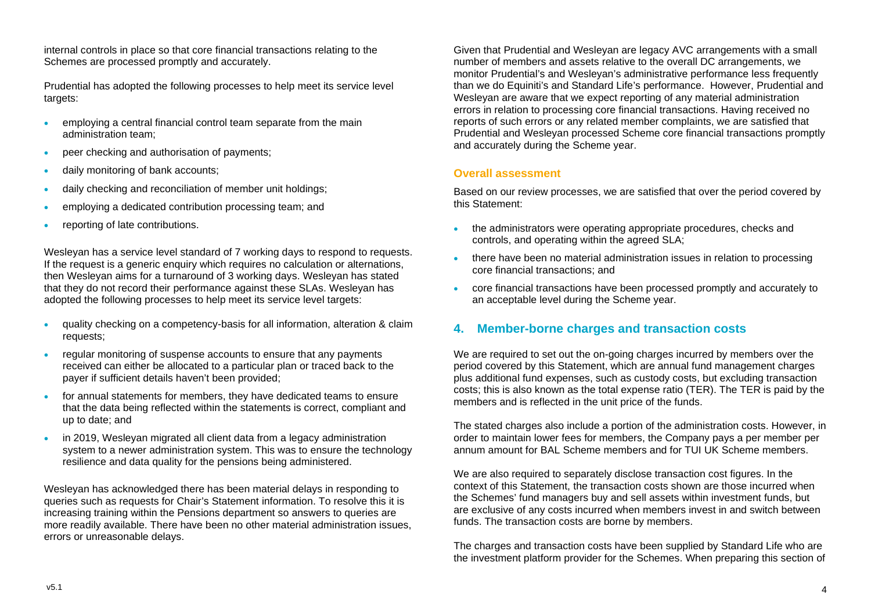internal controls in place so that core financial transactions relating to the Schemes are processed promptly and accurately.

Prudential has adopted the following processes to help meet its service level targets:

- employing a central financial control team separate from the main administration team;
- peer checking and authorisation of payments;
- daily monitoring of bank accounts;
- daily checking and reconciliation of member unit holdings;
- employing a dedicated contribution processing team; and
- reporting of late contributions.

Wesleyan has a service level standard of 7 working days to respond to requests. If the request is a generic enquiry which requires no calculation or alternations, then Wesleyan aims for a turnaround of 3 working days. Wesleyan has stated that they do not record their performance against these SLAs. Wesleyan has adopted the following processes to help meet its service level targets:

- quality checking on a competency-basis for all information, alteration & claim requests;
- regular monitoring of suspense accounts to ensure that any payments received can either be allocated to a particular plan or traced back to the payer if sufficient details haven't been provided;
- for annual statements for members, they have dedicated teams to ensure that the data being reflected within the statements is correct, compliant and up to date; and
- in 2019, Wesleyan migrated all client data from a legacy administration system to a newer administration system. This was to ensure the technology resilience and data quality for the pensions being administered.

Wesleyan has acknowledged there has been material delays in responding to queries such as requests for Chair's Statement information. To resolve this it is increasing training within the Pensions department so answers to queries are more readily available. There have been no other material administration issues, errors or unreasonable delays.

Given that Prudential and Wesleyan are legacy AVC arrangements with a small number of members and assets relative to the overall DC arrangements, we monitor Prudential's and Wesleyan's administrative performance less frequently than we do Equiniti's and Standard Life's performance. However, Prudential and Wesleyan are aware that we expect reporting of any material administration errors in relation to processing core financial transactions. Having received no reports of such errors or any related member complaints, we are satisfied that Prudential and Wesleyan processed Scheme core financial transactions promptly and accurately during the Scheme year.

## **Overall assessment**

Based on our review processes, we are satisfied that over the period covered by this Statement:

- the administrators were operating appropriate procedures, checks and controls, and operating within the agreed SLA;
- there have been no material administration issues in relation to processing core financial transactions; and
- core financial transactions have been processed promptly and accurately to an acceptable level during the Scheme year.

# **4. Member-borne charges and transaction costs**

We are required to set out the on-going charges incurred by members over the period covered by this Statement, which are annual fund management charges plus additional fund expenses, such as custody costs, but excluding transaction costs; this is also known as the total expense ratio (TER). The TER is paid by the members and is reflected in the unit price of the funds.

The stated charges also include a portion of the administration costs. However, in order to maintain lower fees for members, the Company pays a per member per annum amount for BAL Scheme members and for TUI UK Scheme members.

We are also required to separately disclose transaction cost figures. In the context of this Statement, the transaction costs shown are those incurred when the Schemes' fund managers buy and sell assets within investment funds, but are exclusive of any costs incurred when members invest in and switch between funds. The transaction costs are borne by members.

The charges and transaction costs have been supplied by Standard Life who are the investment platform provider for the Schemes. When preparing this section of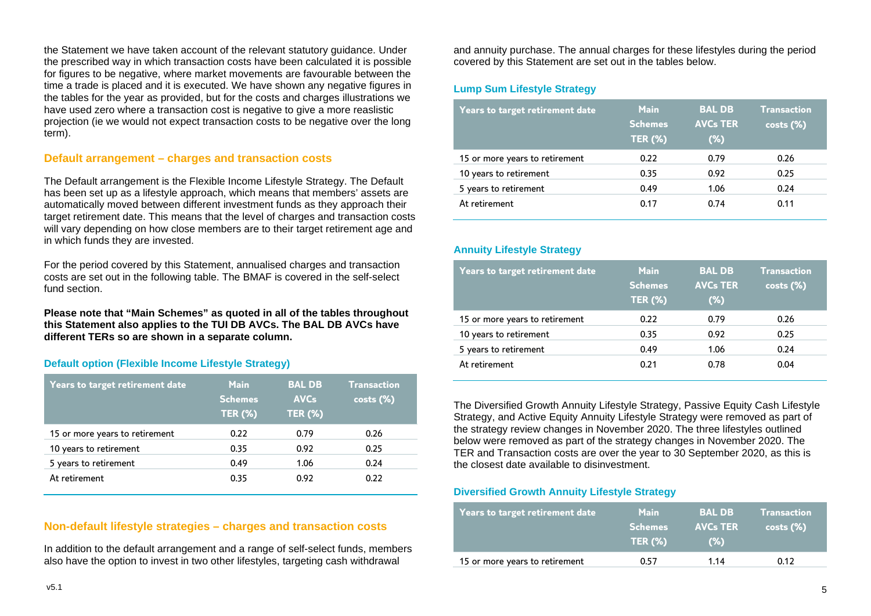the Statement we have taken account of the relevant statutory guidance. Under the prescribed way in which transaction costs have been calculated it is possible for figures to be negative, where market movements are favourable between the time a trade is placed and it is executed. We have shown any negative figures in the tables for the year as provided, but for the costs and charges illustrations we have used zero where a transaction cost is negative to give a more reaslistic projection (ie we would not expect transaction costs to be negative over the long term).

#### **Default arrangement – charges and transaction costs**

The Default arrangement is the Flexible Income Lifestyle Strategy. The Default has been set up as a lifestyle approach, which means that members' assets are automatically moved between different investment funds as they approach their target retirement date. This means that the level of charges and transaction costs will vary depending on how close members are to their target retirement age and in which funds they are invested.

For the period covered by this Statement, annualised charges and transaction costs are set out in the following table. The BMAF is covered in the self-select fund section

**Please note that "Main Schemes" as quoted in all of the tables throughout this Statement also applies to the TUI DB AVCs. The BAL DB AVCs have different TERs so are shown in a separate column.**

#### **Default option (Flexible Income Lifestyle Strategy)**

| <b>Years to target retirement date</b> | <b>Main</b><br><b>Schemes</b><br><b>TER (%)</b> | <b>BAL DB</b><br><b>AVCs</b><br><b>TER (%)</b> | <b>Transaction</b><br>$costs (\%)$ |
|----------------------------------------|-------------------------------------------------|------------------------------------------------|------------------------------------|
| 15 or more years to retirement         | 0.22                                            | 0.79                                           | 0.26                               |
| 10 years to retirement                 | 0.35                                            | 0.92                                           | 0.25                               |
| 5 years to retirement                  | 0.49                                            | 1.06                                           | 0.24                               |
| At retirement                          | 0.35                                            | 0.92                                           | 0.22                               |

#### **Non-default lifestyle strategies – charges and transaction costs**

In addition to the default arrangement and a range of self-select funds, members also have the option to invest in two other lifestyles, targeting cash withdrawal

and annuity purchase. The annual charges for these lifestyles during the period covered by this Statement are set out in the tables below.

#### **Lump Sum Lifestyle Strategy**

| <b>Years to target retirement date</b> | <b>Main</b><br><b>Schemes</b><br><b>TER (%)</b> | <b>BAL DB</b><br><b>AVCs TER</b><br>$(\%)$ | <b>Transaction</b><br>$costs (\%)$ |
|----------------------------------------|-------------------------------------------------|--------------------------------------------|------------------------------------|
| 15 or more years to retirement         | 0.22                                            | 0.79                                       | 0.26                               |
| 10 years to retirement                 | 0.35                                            | 0.92                                       | 0.25                               |
| 5 years to retirement                  | 0.49                                            | 1.06                                       | 0.24                               |
| At retirement                          | 0.17                                            | 0.74                                       | 0.11                               |

#### **Annuity Lifestyle Strategy**

| <b>Years to target retirement date</b> | <b>Main</b><br><b>Schemes</b><br><b>TER (%)</b> | <b>BAL DB</b><br><b>AVCs TER</b><br>$(\%)$ | <b>Transaction</b><br>$costs$ $%$ |
|----------------------------------------|-------------------------------------------------|--------------------------------------------|-----------------------------------|
| 15 or more years to retirement         | 0.22                                            | 0.79                                       | 0.26                              |
| 10 years to retirement                 | 0.35                                            | 0.92                                       | 0.25                              |
| 5 years to retirement                  | 0.49                                            | 1.06                                       | 0.24                              |
| At retirement                          | 0.21                                            | 0.78                                       | 0.04                              |

The Diversified Growth Annuity Lifestyle Strategy, Passive Equity Cash Lifestyle Strategy, and Active Equity Annuity Lifestyle Strategy were removed as part of the strategy review changes in November 2020. The three lifestyles outlined below were removed as part of the strategy changes in November 2020. The TER and Transaction costs are over the year to 30 September 2020, as this is the closest date available to disinvestment.

#### **Diversified Growth Annuity Lifestyle Strategy**

| <b>Years to target retirement date</b> | <b>Main</b><br><b>Schemes</b><br><b>TER (%)</b> | <b>BAL DB</b><br><b>AVCs TER</b><br>(%) | <b>Transaction</b><br>$costs (\%)$ |
|----------------------------------------|-------------------------------------------------|-----------------------------------------|------------------------------------|
| 15 or more years to retirement         | 0.57                                            | 1.14                                    | 0.12                               |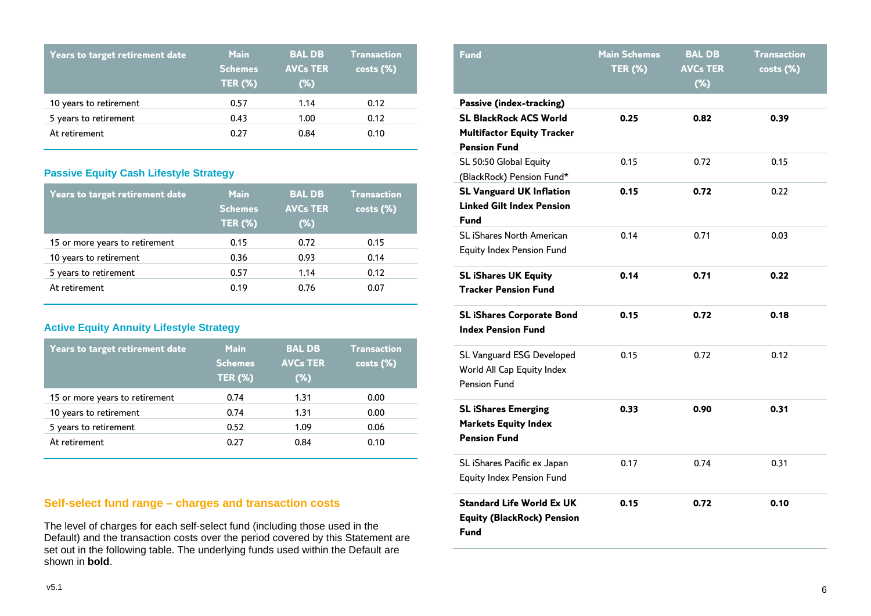| <b>Years to target retirement date</b> | <b>Main</b><br><b>Schemes</b><br><b>TER (%)</b> | <b>BAL DB</b><br><b>AVCs TER</b><br>$(\%)$ | <b>Transaction</b><br>$costs (\%)$ |
|----------------------------------------|-------------------------------------------------|--------------------------------------------|------------------------------------|
| 10 years to retirement                 | 0.57                                            | 1.14                                       | 0.12                               |
| 5 years to retirement                  | 0.43                                            | 1.00                                       | 0.12                               |
| At retirement                          | 0.27                                            | 0.84                                       | 0.10                               |

# **Passive Equity Cash Lifestyle Strategy**

| Years to target retirement date | <b>Main</b><br><b>Schemes</b><br><b>TER (%)</b> | <b>BAL DB</b><br><b>AVCs TER</b><br>$(\%)$ | <b>Transaction</b><br>$costs (\%)$ |
|---------------------------------|-------------------------------------------------|--------------------------------------------|------------------------------------|
| 15 or more years to retirement  | 0.15                                            | 0.72                                       | 0.15                               |
| 10 years to retirement          | 0.36                                            | 0.93                                       | 0.14                               |
| 5 years to retirement           | 0.57                                            | 1.14                                       | 0.12                               |
| At retirement                   | 0.19                                            | 0.76                                       | 0.07                               |

## **Active Equity Annuity Lifestyle Strategy**

| <b>Years to target retirement date</b> | <b>Main</b><br><b>Schemes</b><br><b>TER (%)</b> | <b>BAL DB</b><br><b>AVCs TER</b><br>$(\%)$ | <b>Transaction</b><br>$costs (\%)$ |
|----------------------------------------|-------------------------------------------------|--------------------------------------------|------------------------------------|
| 15 or more years to retirement         | 0.74                                            | 1.31                                       | 0.00                               |
| 10 years to retirement                 | 0.74                                            | 1.31                                       | 0.00                               |
| 5 years to retirement                  | 0.52                                            | 1.09                                       | 0.06                               |
| At retirement                          | 0.27                                            | 0.84                                       | 0.10                               |

# **Self-select fund range – charges and transaction costs**

The level of charges for each self-select fund (including those used in the Default) and the transaction costs over the period covered by this Statement are set out in the following table. The underlying funds used within the Default are shown in **bold**.

| <b>Fund</b>                                                                                                                  | <b>Main Schemes</b><br><b>TER (%)</b> | <b>BAL DB</b><br><b>AVCs TER</b><br>$(*)$ | <b>Transaction</b><br>costs (%) |
|------------------------------------------------------------------------------------------------------------------------------|---------------------------------------|-------------------------------------------|---------------------------------|
| <b>Passive (index-tracking)</b><br><b>SL BlackRock ACS World</b><br><b>Multifactor Equity Tracker</b><br><b>Pension Fund</b> | 0.25                                  | 0.82                                      | 0.39                            |
| SL 50:50 Global Equity<br>(BlackRock) Pension Fund*                                                                          | 0.15                                  | 0.72                                      | 0.15                            |
| <b>SL Vanguard UK Inflation</b><br><b>Linked Gilt Index Pension</b><br><b>Fund</b>                                           | 0.15                                  | 0.72                                      | 0.22                            |
| <b>SL iShares North American</b><br>Equity Index Pension Fund                                                                | 0.14                                  | 0.71                                      | 0.03                            |
| <b>SL iShares UK Equity</b><br><b>Tracker Pension Fund</b>                                                                   | 0.14                                  | 0.71                                      | 0.22                            |
| <b>SL iShares Corporate Bond</b><br><b>Index Pension Fund</b>                                                                | 0.15                                  | 0.72                                      | 0.18                            |
| SL Vanguard ESG Developed<br>World All Cap Equity Index<br><b>Pension Fund</b>                                               | 0.15                                  | 0.72                                      | 0.12                            |
| <b>SL iShares Emerging</b><br><b>Markets Equity Index</b><br><b>Pension Fund</b>                                             | 0.33                                  | 0.90                                      | 0.31                            |
| SL iShares Pacific ex Japan<br><b>Equity Index Pension Fund</b>                                                              | 0.17                                  | 0.74                                      | 0.31                            |
| <b>Standard Life World Ex UK</b><br><b>Equity (BlackRock) Pension</b><br><b>Fund</b>                                         | 0.15                                  | 0.72                                      | 0.10                            |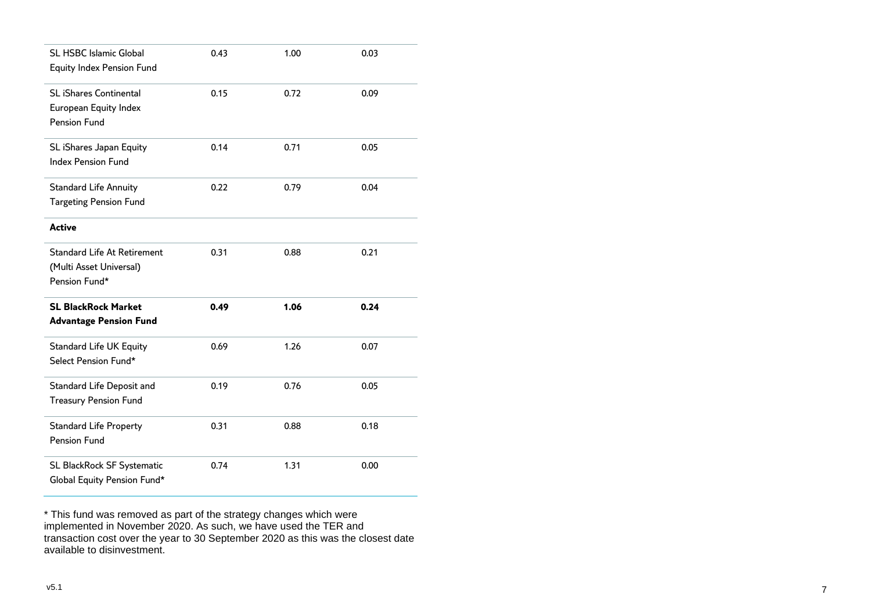| <b>SL HSBC Islamic Global</b><br><b>Equity Index Pension Fund</b>              | 0.43 | 1.00 | 0.03 |
|--------------------------------------------------------------------------------|------|------|------|
| <b>SL iShares Continental</b><br>European Equity Index<br>Pension Fund         | 0.15 | 0.72 | 0.09 |
| SL iShares Japan Equity<br><b>Index Pension Fund</b>                           | 0.14 | 0.71 | 0.05 |
| <b>Standard Life Annuity</b><br><b>Targeting Pension Fund</b>                  | 0.22 | 0.79 | 0.04 |
| <b>Active</b>                                                                  |      |      |      |
| <b>Standard Life At Retirement</b><br>(Multi Asset Universal)<br>Pension Fund* | 0.31 | 0.88 | 0.21 |
| <b>SL BlackRock Market</b><br><b>Advantage Pension Fund</b>                    | 0.49 | 1.06 | 0.24 |
| <b>Standard Life UK Equity</b><br>Select Pension Fund*                         | 0.69 | 1.26 | 0.07 |
| Standard Life Deposit and<br><b>Treasury Pension Fund</b>                      | 0.19 | 0.76 | 0.05 |
| <b>Standard Life Property</b><br>Pension Fund                                  | 0.31 | 0.88 | 0.18 |
| SL BlackRock SF Systematic<br>Global Equity Pension Fund*                      | 0.74 | 1.31 | 0.00 |

\* This fund was removed as part of the strategy changes which were implemented in November 2020. As such, we have used the TER and transaction cost over the year to 30 September 2020 as this was the closest date available to disinvestment.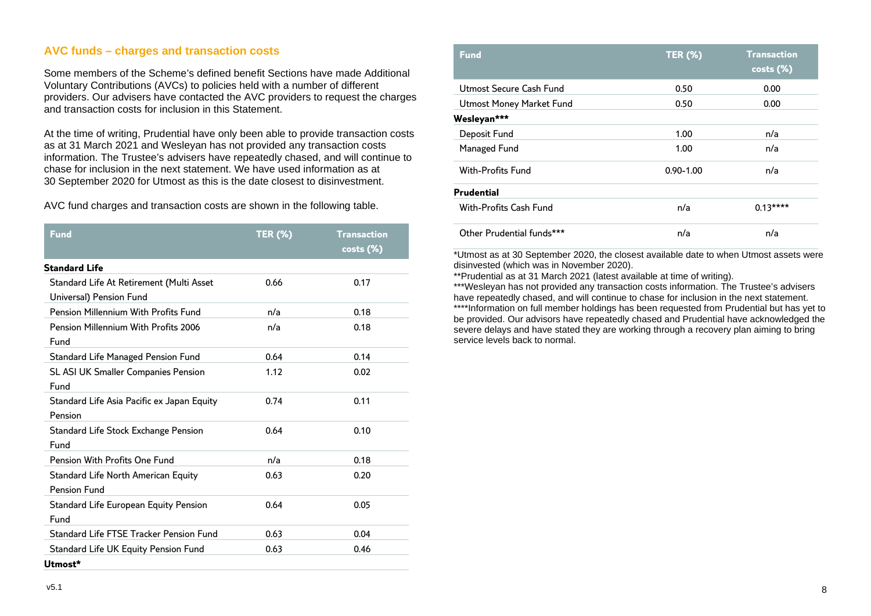# **AVC funds – charges and transaction costs**

Some members of the Scheme's defined benefit Sections have made Additional Voluntary Contributions (AVCs) to policies held with a number of different providers. Our advisers have contacted the AVC providers to request the charges and transaction costs for inclusion in this Statement.

At the time of writing, Prudential have only been able to provide transaction costs as at 31 March 2021 and Wesleyan has not provided any transaction costs information. The Trustee's advisers have repeatedly chased, and will continue to chase for inclusion in the next statement. We have used information as at 30 September 2020 for Utmost as this is the date closest to disinvestment.

AVC fund charges and transaction costs are shown in the following table.

| <b>Fund</b>                                                         | <b>TER (%)</b> | <b>Transaction</b><br>$\overline{\textsf{costs}~(\%)}$ |
|---------------------------------------------------------------------|----------------|--------------------------------------------------------|
| <b>Standard Life</b>                                                |                |                                                        |
| Standard Life At Retirement (Multi Asset<br>Universal) Pension Fund | 0.66           | 0.17                                                   |
| <b>Pension Millennium With Profits Fund</b>                         | n/a            | 0.18                                                   |
| Pension Millennium With Profits 2006<br>Fund                        | n/a            | 0.18                                                   |
| Standard Life Managed Pension Fund                                  | 0.64           | 0.14                                                   |
| SL ASI UK Smaller Companies Pension<br>Fund                         | 1.12           | 0.02                                                   |
| Standard Life Asia Pacific ex Japan Equity<br>Pension               | 0.74           | 0.11                                                   |
| Standard Life Stock Exchange Pension<br>Fund                        | 0.64           | 0.10                                                   |
| Pension With Profits One Fund                                       | n/a            | 0.18                                                   |
| Standard Life North American Equity<br>Pension Fund                 | 0.63           | 0.20                                                   |
| Standard Life European Equity Pension<br>Fund                       | 0.64           | 0.05                                                   |
| Standard Life FTSE Tracker Pension Fund                             | 0.63           | 0.04                                                   |
| Standard Life UK Equity Pension Fund<br>Utmost*                     | 0.63           | 0.46                                                   |

| Fund                      | <b>TER (%)</b> | <b>Transaction</b><br>costs (%) |
|---------------------------|----------------|---------------------------------|
| Utmost Secure Cash Fund   | 0.50           | 0.00                            |
| Utmost Money Market Fund  | 0.50           | 0.00                            |
| Wesleyan***               |                |                                 |
| Deposit Fund              | 1.00           | n/a                             |
| Managed Fund              | 1.00           | n/a                             |
| <b>With-Profits Fund</b>  | $0.90 - 1.00$  | n/a                             |
| <b>Prudential</b>         |                |                                 |
| With-Profits Cash Fund    | n/a            | $0.13***$                       |
| Other Prudential funds*** | n/a            | n/a                             |

\*Utmost as at 30 September 2020, the closest available date to when Utmost assets were disinvested (which was in November 2020).

\*\*Prudential as at 31 March 2021 (latest available at time of writing).

\*\*\*Wesleyan has not provided any transaction costs information. The Trustee's advisers have repeatedly chased, and will continue to chase for inclusion in the next statement. \*\*\*\*Information on full member holdings has been requested from Prudential but has yet to be provided. Our advisors have repeatedly chased and Prudential have acknowledged the

severe delays and have stated they are working through a recovery plan aiming to bring service levels back to normal.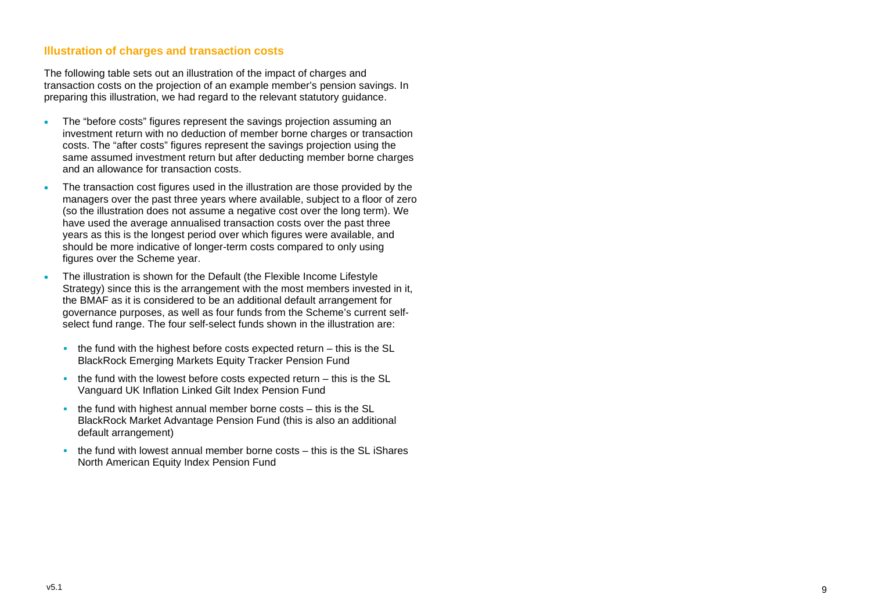#### **Illustration of charges and transaction costs**

The following table sets out an illustration of the impact of charges and transaction costs on the projection of an example member's pension savings. In preparing this illustration, we had regard to the relevant statutory guidance .

- The "before costs" figures represent the savings projection assuming an investment return with no deduction of member borne charges or transaction costs. The "after costs" figures represent the savings projection using the same assumed investment return but after deducting member borne charges and an allowance for transaction costs.
- The transaction cost figures used in the illustration are those provided by the managers over the past three years where available, subject to a floor of zero (so the illustration does not assume a negative cost over the long term). We have used the average annualised transaction costs over the past three years as this is the longest period over which figures were available, and should be more indicative of longer -term costs compared to only using figures over the Scheme year.
- The illustration is shown for the Default (the Flexible Income Lifestyle Strategy ) since this is the arrangement with the most members invested in it, the BMAF as it is considered to be an additional default arrangement for governance purposes, as well as four funds from the Scheme's current self select fund range. The four self-select funds shown in the illustration are:
	- the fund with the highest before costs expected return this is the SL BlackRock Emerging Markets Equity Tracker Pension Fund
	- the fund with the lowest before costs expected return this is the SL Vanguard UK Inflation Linked Gilt Index Pension Fund
	- the fund with highest annual member borne costs this is the SL BlackRock Market Advantage Pension Fund (this is also an additional default arrangement)
	- the fund with lowest annual member borne costs this is the SL iShares North American Equity Index Pension Fund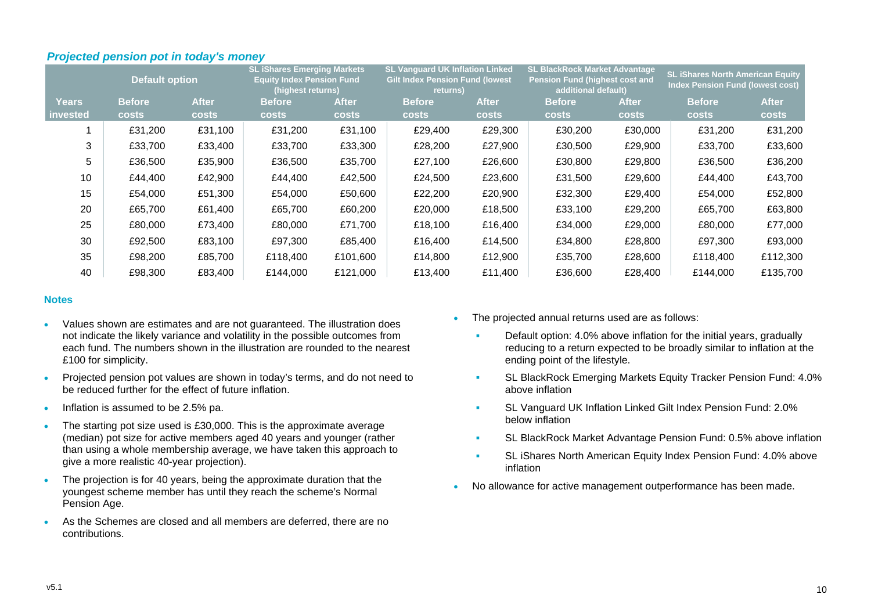|              | <b>Default option</b> |              | <b>SL iShares Emerging Markets</b><br><b>Equity Index Pension Fund</b><br>(highest returns) |              | <b>SL Vanquard UK Inflation Linked</b><br><b>Gilt Index Pension Fund (lowest</b><br>returns) |              | <b>SL BlackRock Market Advantage</b><br><b>Pension Fund (highest cost and</b><br>additional default) |              | <b>SL iShares North American Equity</b><br><b>Index Pension Fund (lowest cost)</b> |              |
|--------------|-----------------------|--------------|---------------------------------------------------------------------------------------------|--------------|----------------------------------------------------------------------------------------------|--------------|------------------------------------------------------------------------------------------------------|--------------|------------------------------------------------------------------------------------|--------------|
| <b>Years</b> | <b>Before</b>         | <b>After</b> | <b>Before</b>                                                                               | <b>After</b> | <b>Before</b>                                                                                | <b>After</b> | <b>Before</b>                                                                                        | <b>After</b> | <b>Before</b>                                                                      | <b>After</b> |
| invested     | <b>costs</b>          | <b>costs</b> | <b>costs</b>                                                                                | <b>costs</b> | <b>costs</b>                                                                                 | <b>costs</b> | <b>costs</b>                                                                                         | <b>costs</b> | <b>costs</b>                                                                       | <b>costs</b> |
|              | £31,200               | £31,100      | £31,200                                                                                     | £31,100      | £29,400                                                                                      | £29,300      | £30,200                                                                                              | £30,000      | £31,200                                                                            | £31,200      |
| 3            | £33,700               | £33,400      | £33,700                                                                                     | £33,300      | £28,200                                                                                      | £27,900      | £30,500                                                                                              | £29,900      | £33,700                                                                            | £33,600      |
| 5            | £36,500               | £35,900      | £36,500                                                                                     | £35,700      | £27,100                                                                                      | £26,600      | £30,800                                                                                              | £29,800      | £36,500                                                                            | £36,200      |
| 10           | £44,400               | £42,900      | £44,400                                                                                     | £42,500      | £24,500                                                                                      | £23,600      | £31,500                                                                                              | £29,600      | £44,400                                                                            | £43,700      |
| 15           | £54,000               | £51,300      | £54,000                                                                                     | £50,600      | £22,200                                                                                      | £20,900      | £32,300                                                                                              | £29,400      | £54,000                                                                            | £52,800      |
| 20           | £65,700               | £61,400      | £65,700                                                                                     | £60,200      | £20,000                                                                                      | £18,500      | £33,100                                                                                              | £29,200      | £65,700                                                                            | £63,800      |
| 25           | £80,000               | £73,400      | £80,000                                                                                     | £71,700      | £18,100                                                                                      | £16,400      | £34,000                                                                                              | £29,000      | £80,000                                                                            | £77,000      |
| 30           | £92,500               | £83,100      | £97,300                                                                                     | £85,400      | £16,400                                                                                      | £14,500      | £34,800                                                                                              | £28,800      | £97,300                                                                            | £93,000      |
| 35           | £98,200               | £85,700      | £118,400                                                                                    | £101,600     | £14,800                                                                                      | £12,900      | £35,700                                                                                              | £28,600      | £118,400                                                                           | £112,300     |
| 40           | £98,300               | £83,400      | £144,000                                                                                    | £121,000     | £13,400                                                                                      | £11,400      | £36,600                                                                                              | £28,400      | £144,000                                                                           | £135,700     |

## *Projected pension pot in today's money*

#### **Notes**

- Values shown are estimates and are not guaranteed. The illustration does not indicate the likely variance and volatility in the possible outcomes from each fund. The numbers shown in the illustration are rounded to the nearest £100 for simplicity.
- Projected pension pot values are shown in today's terms, and do not need to be reduced further for the effect of future inflation.
- Inflation is assumed to be 2.5% pa.
- The starting pot size used is £30,000. This is the approximate average (median) pot size for active members aged 40 years and younger (rather than using a whole membership average, we have taken this approach to give a more realistic 40-year projection).
- The projection is for 40 years, being the approximate duration that the youngest scheme member has until they reach the scheme's Normal Pension Age.
- As the Schemes are closed and all members are deferred, there are no contributions.
- The projected annual returns used are as follows:
	- Default option: 4.0% above inflation for the initial years, gradually reducing to a return expected to be broadly similar to inflation at the ending point of the lifestyle.
	- SL BlackRock Emerging Markets Equity Tracker Pension Fund: 4.0% above inflation
	- **SL Vanguard UK Inflation Linked Gilt Index Pension Fund: 2.0%** below inflation
	- SL BlackRock Market Advantage Pension Fund: 0.5% above inflation
	- SL iShares North American Equity Index Pension Fund: 4.0% above inflation
- No allowance for active management outperformance has been made.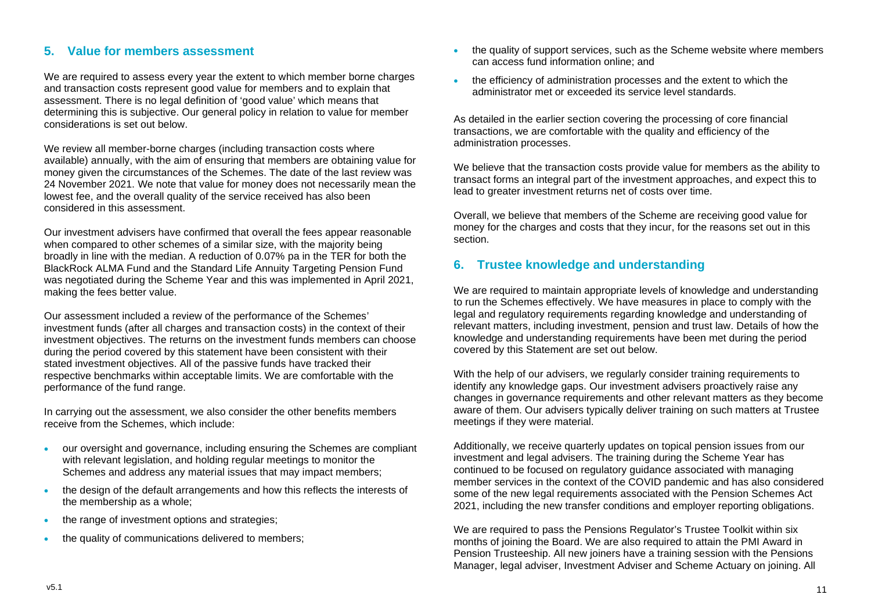# **5. Value for members assessment**

We are required to assess every year the extent to which member borne charges and transaction costs represent good value for members and to explain that assessment. There is no legal definition of 'good value' which means that determining this is subjective. Our general policy in relation to value for member considerations is set out below.

We review all member-borne charges (including transaction costs where available) annually, with the aim of ensuring that members are obtaining value for money given the circumstances of the Schemes. The date of the last review was 24 November 2021. We note that value for money does not necessarily mean the lowest fee, and the overall quality of the service received has also been considered in this assessment.

Our investment advisers have confirmed that overall the fees appear reasonable when compared to other schemes of a similar size, with the majority being broadly in line with the median. A reduction of 0.07% pa in the TER for both the BlackRock ALMA Fund and the Standard Life Annuity Targeting Pension Fund was negotiated during the Scheme Year and this was implemented in April 2021, making the fees better value.

Our assessment included a review of the performance of the Schemes' investment funds (after all charges and transaction costs) in the context of their investment objectives. The returns on the investment funds members can choose during the period covered by this statement have been consistent with their stated investment objectives. All of the passive funds have tracked their respective benchmarks within acceptable limits. We are comfortable with the performance of the fund range.

In carrying out the assessment, we also consider the other benefits members receive from the Schemes, which include:

- our oversight and governance, including ensuring the Schemes are compliant with relevant legislation, and holding regular meetings to monitor the Schemes and address any material issues that may impact members;
- the design of the default arrangements and how this reflects the interests of the membership as a whole;
- the range of investment options and strategies;
- the quality of communications delivered to members:
- the quality of support services, such as the Scheme website where members can access fund information online; and
- the efficiency of administration processes and the extent to which the administrator met or exceeded its service level standards.

As detailed in the earlier section covering the processing of core financial transactions, we are comfortable with the quality and efficiency of the administration processes.

We believe that the transaction costs provide value for members as the ability to transact forms an integral part of the investment approaches, and expect this to lead to greater investment returns net of costs over time.

Overall, we believe that members of the Scheme are receiving good value for money for the charges and costs that they incur, for the reasons set out in this section.

# **6. Trustee knowledge and understanding**

We are required to maintain appropriate levels of knowledge and understanding to run the Schemes effectively. We have measures in place to comply with the legal and regulatory requirements regarding knowledge and understanding of relevant matters, including investment, pension and trust law. Details of how the knowledge and understanding requirements have been met during the period covered by this Statement are set out below.

With the help of our advisers, we regularly consider training requirements to identify any knowledge gaps. Our investment advisers proactively raise any changes in governance requirements and other relevant matters as they become aware of them. Our advisers typically deliver training on such matters at Trustee meetings if they were material.

Additionally, we receive quarterly updates on topical pension issues from our investment and legal advisers. The training during the Scheme Year has continued to be focused on regulatory guidance associated with managing member services in the context of the COVID pandemic and has also considered some of the new legal requirements associated with the Pension Schemes Act 2021, including the new transfer conditions and employer reporting obligations.

We are required to pass the Pensions Regulator's Trustee Toolkit within six months of joining the Board. We are also required to attain the PMI Award in Pension Trusteeship. All new joiners have a training session with the Pensions Manager, legal adviser, Investment Adviser and Scheme Actuary on joining. All